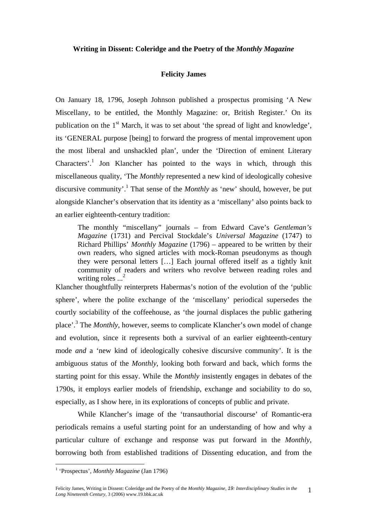#### **Writing in Dissent: Coleridge and the Poetry of the** *Monthly Magazine*

#### **Felicity James**

On January 18, 1796, Joseph Johnson published a prospectus promising 'A New Miscellany, to be entitled, the Monthly Magazine: or, British Register.' On its publication on the  $1<sup>st</sup>$  March, it was to set about 'the spread of light and knowledge'. its 'GENERAL purpose [being] to forward the progress of mental improvement upon the most liberal and unshackled plan', under the 'Direction of eminent Literary Characters'.<sup>1</sup> Jon Klancher has pointed to the ways in which, through this miscellaneous quality, 'The *Monthly* represented a new kind of ideologically cohesive discursive community'[.1](#page-20-0) That sense of the *Monthly* as 'new' should, however, be put alongside Klancher's observation that its identity as a 'miscellany' also points back to an earlier eighteenth-century tradition:

The monthly "miscellany" journals – from Edward Cave's *Gentleman's Magazine* (1731) and Percival Stockdale's *Universal Magazine* (1747) to Richard Phillips' *Monthly Magazine* (1796) – appeared to be written by their own readers, who signed articles with mock-Roman pseudonyms as though they were personal letters […] Each journal offered itself as a tightly knit community of readers and writers who revolve between reading roles and writing roles  $\ldots^2$ 

Klancher thoughtfully reinterprets Habermas's notion of the evolution of the 'public sphere', where the polite exchange of the 'miscellany' periodical supersedes the courtly sociability of the coffeehouse, as 'the journal displaces the public gathering place'.<sup>[3](#page-20-2)</sup> The *Monthly*, however, seems to complicate Klancher's own model of change and evolution, since it represents both a survival of an earlier eighteenth-century mode *and* a 'new kind of ideologically cohesive discursive community'. It is the ambiguous status of the *Monthly*, looking both forward and back, which forms the starting point for this essay. While the *Monthly* insistently engages in debates of the 1790s, it employs earlier models of friendship, exchange and sociability to do so, especially, as I show here, in its explorations of concepts of public and private.

While Klancher's image of the 'transauthorial discourse' of Romantic-era periodicals remains a useful starting point for an understanding of how and why a particular culture of exchange and response was put forward in the *Monthly*, borrowing both from established traditions of Dissenting education, and from the

 $\overline{a}$ 

<span id="page-0-0"></span><sup>&</sup>lt;sup>1</sup> 'Prospectus', *Monthly Magazine* (Jan 1796)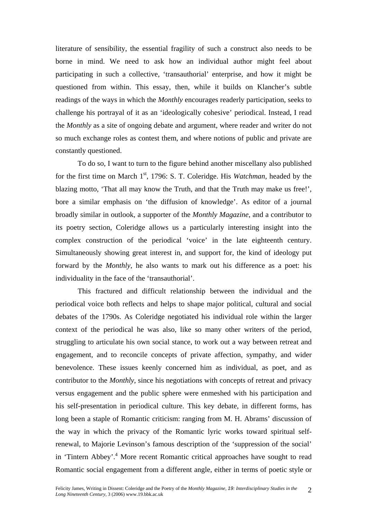literature of sensibility, the essential fragility of such a construct also needs to be borne in mind. We need to ask how an individual author might feel about participating in such a collective, 'transauthorial' enterprise, and how it might be questioned from within. This essay, then, while it builds on Klancher's subtle readings of the ways in which the *Monthly* encourages readerly participation, seeks to challenge his portrayal of it as an 'ideologically cohesive' periodical. Instead, I read the *Monthly* as a site of ongoing debate and argument, where reader and writer do not so much exchange roles as contest them, and where notions of public and private are constantly questioned.

To do so, I want to turn to the figure behind another miscellany also published for the first time on March 1<sup>st</sup>, 1796: S. T. Coleridge. His *Watchman*, headed by the blazing motto, 'That all may know the Truth, and that the Truth may make us free!', bore a similar emphasis on 'the diffusion of knowledge'. As editor of a journal broadly similar in outlook, a supporter of the *Monthly Magazine*, and a contributor to its poetry section, Coleridge allows us a particularly interesting insight into the complex construction of the periodical 'voice' in the late eighteenth century. Simultaneously showing great interest in, and support for, the kind of ideology put forward by the *Monthly*, he also wants to mark out his difference as a poet: his individuality in the face of the 'transauthorial'.

This fractured and difficult relationship between the individual and the periodical voice both reflects and helps to shape major political, cultural and social debates of the 1790s. As Coleridge negotiated his individual role within the larger context of the periodical he was also, like so many other writers of the period, struggling to articulate his own social stance, to work out a way between retreat and engagement, and to reconcile concepts of private affection, sympathy, and wider benevolence. These issues keenly concerned him as individual, as poet, and as contributor to the *Monthly*, since his negotiations with concepts of retreat and privacy versus engagement and the public sphere were enmeshed with his participation and his self-presentation in periodical culture. This key debate, in different forms, has long been a staple of Romantic criticism: ranging from M. H. Abrams' discussion of the way in which the privacy of the Romantic lyric works toward spiritual selfrenewal, to Majorie Levinson's famous description of the 'suppression of the social' in 'Tintern Abbey'.<sup>[4](#page-20-3)</sup> More recent Romantic critical approaches have sought to read Romantic social engagement from a different angle, either in terms of poetic style or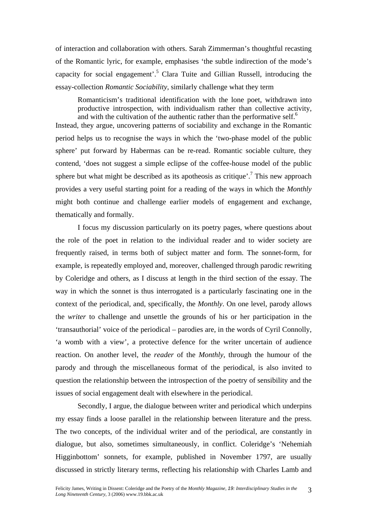of interaction and collaboration with others. Sarah Zimmerman's thoughtful recasting of the Romantic lyric, for example, emphasises 'the subtle indirection of the mode's capacity for social engagement'.<sup>[5](#page-20-4)</sup> Clara Tuite and Gillian Russell, introducing the essay-collection *Romantic Sociability*, similarly challenge what they term

Romanticism's traditional identification with the lone poet, withdrawn into productive introspection, with individualism rather than collective activity, and with the cultivation of the authentic rather than the performative self.<sup>[6](#page-20-5)</sup>

Instead, they argue, uncovering patterns of sociability and exchange in the Romantic period helps us to recognise the ways in which the 'two-phase model of the public sphere' put forward by Habermas can be re-read. Romantic sociable culture, they contend, 'does not suggest a simple eclipse of the coffee-house model of the public sphere but what might be described as its apotheosis as critique'.<sup>[7](#page-20-6)</sup> This new approach provides a very useful starting point for a reading of the ways in which the *Monthly* might both continue and challenge earlier models of engagement and exchange, thematically and formally.

I focus my discussion particularly on its poetry pages, where questions about the role of the poet in relation to the individual reader and to wider society are frequently raised, in terms both of subject matter and form. The sonnet-form, for example, is repeatedly employed and, moreover, challenged through parodic rewriting by Coleridge and others, as I discuss at length in the third section of the essay. The way in which the sonnet is thus interrogated is a particularly fascinating one in the context of the periodical, and, specifically, the *Monthly*. On one level, parody allows the *writer* to challenge and unsettle the grounds of his or her participation in the 'transauthorial' voice of the periodical – parodies are, in the words of Cyril Connolly, 'a womb with a view', a protective defence for the writer uncertain of audience reaction. On another level, the *reader* of the *Monthly*, through the humour of the parody and through the miscellaneous format of the periodical, is also invited to question the relationship between the introspection of the poetry of sensibility and the issues of social engagement dealt with elsewhere in the periodical.

Secondly, I argue, the dialogue between writer and periodical which underpins my essay finds a loose parallel in the relationship between literature and the press. The two concepts, of the individual writer and of the periodical, are constantly in dialogue, but also, sometimes simultaneously, in conflict. Coleridge's 'Nehemiah Higginbottom' sonnets, for example, published in November 1797, are usually discussed in strictly literary terms, reflecting his relationship with Charles Lamb and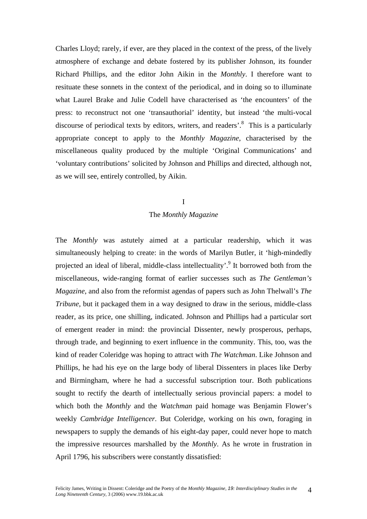Charles Lloyd; rarely, if ever, are they placed in the context of the press, of the lively atmosphere of exchange and debate fostered by its publisher Johnson, its founder Richard Phillips, and the editor John Aikin in the *Monthly*. I therefore want to resituate these sonnets in the context of the periodical, and in doing so to illuminate what Laurel Brake and Julie Codell have characterised as 'the encounters' of the press: to reconstruct not one 'transauthorial' identity, but instead 'the multi-vocal discourse of periodical texts by editors, writers, and readers'.<sup>8</sup> This is a particularly appropriate concept to apply to the *Monthly Magazine*, characterised by the miscellaneous quality produced by the multiple 'Original Communications' and 'voluntary contributions' solicited by Johnson and Phillips and directed, although not, as we will see, entirely controlled, by Aikin.

## I

## The *Monthly Magazine*

The *Monthly* was astutely aimed at a particular readership, which it was simultaneously helping to create: in the words of Marilyn Butler, it 'high-mindedly projected an ideal of liberal, middle-class intellectuality'.<sup>[9](#page-20-8)</sup> It borrowed both from the miscellaneous, wide-ranging format of earlier successes such as *The Gentleman's Magazine*, and also from the reformist agendas of papers such as John Thelwall's *The Tribune*, but it packaged them in a way designed to draw in the serious, middle-class reader, as its price, one shilling, indicated. Johnson and Phillips had a particular sort of emergent reader in mind: the provincial Dissenter, newly prosperous, perhaps, through trade, and beginning to exert influence in the community. This, too, was the kind of reader Coleridge was hoping to attract with *The Watchman*. Like Johnson and Phillips, he had his eye on the large body of liberal Dissenters in places like Derby and Birmingham, where he had a successful subscription tour. Both publications sought to rectify the dearth of intellectually serious provincial papers: a model to which both the *Monthly* and the *Watchman* paid homage was Benjamin Flower's weekly *Cambridge Intelligencer*. But Coleridge, working on his own, foraging in newspapers to supply the demands of his eight-day paper, could never hope to match the impressive resources marshalled by the *Monthly*. As he wrote in frustration in April 1796, his subscribers were constantly dissatisfied: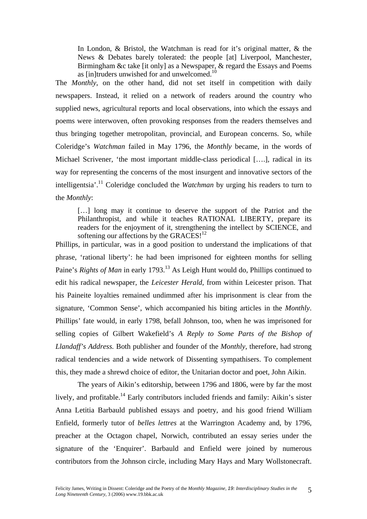In London, & Bristol, the Watchman is read for it's original matter, & the News & Debates barely tolerated: the people [at] Liverpool, Manchester, Birmingham &c take [it only] as a Newspaper, & regard the Essays and Poems as [in]truders unwished for and unwelcomed.[10](#page-20-4) 

The *Monthly*, on the other hand, did not set itself in competition with daily newspapers. Instead, it relied on a network of readers around the country who supplied news, agricultural reports and local observations, into which the essays and poems were interwoven, often provoking responses from the readers themselves and thus bringing together metropolitan, provincial, and European concerns. So, while Coleridge's *Watchman* failed in May 1796, the *Monthly* became, in the words of Michael Scrivener, 'the most important middle-class periodical [….], radical in its way for representing the concerns of the most insurgent and innovative sectors of the intelligentsia'[.11](#page-20-9) Coleridge concluded the *Watchman* by urging his readers to turn to the *Monthly*:

[...] long may it continue to deserve the support of the Patriot and the Philanthropist, and while it teaches RATIONAL LIBERTY, prepare its readers for the enjoyment of it, strengthening the intellect by SCIENCE, and softening our affections by the GRACES!<sup>12</sup>

Phillips, in particular, was in a good position to understand the implications of that phrase, 'rational liberty': he had been imprisoned for eighteen months for selling Paine's *Rights of Man* in early 1793.<sup>13</sup> As Leigh Hunt would do, Phillips continued to edit his radical newspaper, the *Leicester Herald*, from within Leicester prison. That his Paineite loyalties remained undimmed after his imprisonment is clear from the signature, 'Common Sense', which accompanied his biting articles in the *Monthly*. Phillips' fate would, in early 1798, befall Johnson, too, when he was imprisoned for selling copies of Gilbert Wakefield's *A Reply to Some Parts of the Bishop of Llandaff's Address.* Both publisher and founder of the *Monthly*, therefore, had strong radical tendencies and a wide network of Dissenting sympathisers. To complement this, they made a shrewd choice of editor, the Unitarian doctor and poet, John Aikin.

The years of Aikin's editorship, between 1796 and 1806, were by far the most lively, and profitable.<sup>14</sup> Early contributors included friends and family: Aikin's sister Anna Letitia Barbauld published essays and poetry, and his good friend William Enfield, formerly tutor of *belles lettres* at the Warrington Academy and, by 1796, preacher at the Octagon chapel, Norwich, contributed an essay series under the signature of the 'Enquirer'. Barbauld and Enfield were joined by numerous contributors from the Johnson circle, including Mary Hays and Mary Wollstonecraft.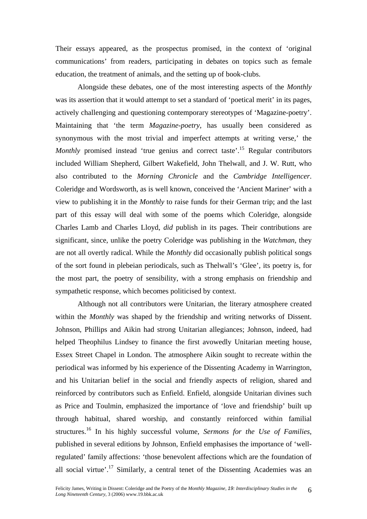Their essays appeared, as the prospectus promised, in the context of 'original communications' from readers, participating in debates on topics such as female education, the treatment of animals, and the setting up of book-clubs.

Alongside these debates, one of the most interesting aspects of the *Monthly* was its assertion that it would attempt to set a standard of 'poetical merit' in its pages, actively challenging and questioning contemporary stereotypes of 'Magazine-poetry'. Maintaining that 'the term *Magazine-poetry*, has usually been considered as synonymous with the most trivial and imperfect attempts at writing verse,' the *Monthly* promised instead 'true genius and correct taste'.<sup>15</sup> Regular contributors included William Shepherd, Gilbert Wakefield, John Thelwall, and J. W. Rutt, who also contributed to the *Morning Chronicle* and the *Cambridge Intelligencer*. Coleridge and Wordsworth, as is well known, conceived the 'Ancient Mariner' with a view to publishing it in the *Monthly* to raise funds for their German trip; and the last part of this essay will deal with some of the poems which Coleridge, alongside Charles Lamb and Charles Lloyd, *did* publish in its pages. Their contributions are significant, since, unlike the poetry Coleridge was publishing in the *Watchman*, they are not all overtly radical. While the *Monthly* did occasionally publish political songs of the sort found in plebeian periodicals, such as Thelwall's 'Glee', its poetry is, for the most part, the poetry of sensibility, with a strong emphasis on friendship and sympathetic response, which becomes politicised by context.

Although not all contributors were Unitarian, the literary atmosphere created within the *Monthly* was shaped by the friendship and writing networks of Dissent. Johnson, Phillips and Aikin had strong Unitarian allegiances; Johnson, indeed, had helped Theophilus Lindsey to finance the first avowedly Unitarian meeting house, Essex Street Chapel in London. The atmosphere Aikin sought to recreate within the periodical was informed by his experience of the Dissenting Academy in Warrington, and his Unitarian belief in the social and friendly aspects of religion, shared and reinforced by contributors such as Enfield. Enfield, alongside Unitarian divines such as Price and Toulmin, emphasized the importance of 'love and friendship' built up through habitual, shared worship, and constantly reinforced within familial structures.[16](#page-20-14) In his highly successful volume, *Sermons for the Use of Families*, published in several editions by Johnson, Enfield emphasises the importance of 'wellregulated' family affections: 'those benevolent affections which are the foundation of all social virtue'.<sup>17</sup> Similarly, a central tenet of the Dissenting Academies was an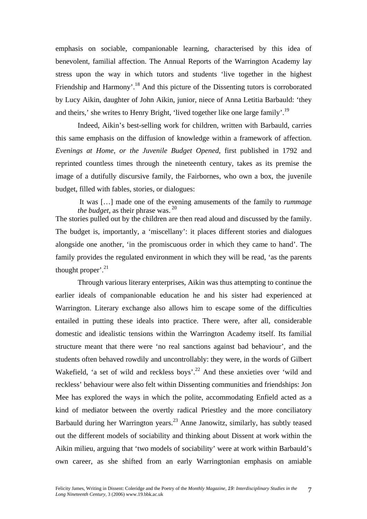emphasis on sociable, companionable learning, characterised by this idea of benevolent, familial affection. The Annual Reports of the Warrington Academy lay stress upon the way in which tutors and students 'live together in the highest Friendship and Harmony'.<sup>18</sup> And this picture of the Dissenting tutors is corroborated by Lucy Aikin, daughter of John Aikin, junior, niece of Anna Letitia Barbauld: 'they and theirs,' she writes to Henry Bright, 'lived together like one large family'[.19](#page-20-17) 

Indeed, Aikin's best-selling work for children, written with Barbauld, carries this same emphasis on the diffusion of knowledge within a framework of affection. *Evenings at Home, or the Juvenile Budget Opened*, first published in 1792 and reprinted countless times through the nineteenth century, takes as its premise the image of a dutifully discursive family, the Fairbornes, who own a box, the juvenile budget, filled with fables, stories, or dialogues:

It was […] made one of the evening amusements of the family to *rummage the budget*, as their phrase was. <sup>20</sup>

The stories pulled out by the children are then read aloud and discussed by the family. The budget is, importantly, a 'miscellany': it places different stories and dialogues alongside one another, 'in the promiscuous order in which they came to hand'. The family provides the regulated environment in which they will be read, 'as the parents thought proper'. $^{21}$ 

Through various literary enterprises, Aikin was thus attempting to continue the earlier ideals of companionable education he and his sister had experienced at Warrington. Literary exchange also allows him to escape some of the difficulties entailed in putting these ideals into practice. There were, after all, considerable domestic and idealistic tensions within the Warrington Academy itself. Its familial structure meant that there were 'no real sanctions against bad behaviour', and the students often behaved rowdily and uncontrollably: they were, in the words of Gilbert Wakefield, 'a set of wild and reckless boys'.<sup>22</sup> And these anxieties over 'wild and reckless' behaviour were also felt within Dissenting communities and friendships: Jon Mee has explored the ways in which the polite, accommodating Enfield acted as a kind of mediator between the overtly radical Priestley and the more conciliatory Barbauld during her Warrington years.[23](#page-20-20) Anne Janowitz, similarly, has subtly teased out the different models of sociability and thinking about Dissent at work within the Aikin milieu, arguing that 'two models of sociability' were at work within Barbauld's own career, as she shifted from an early Warringtonian emphasis on amiable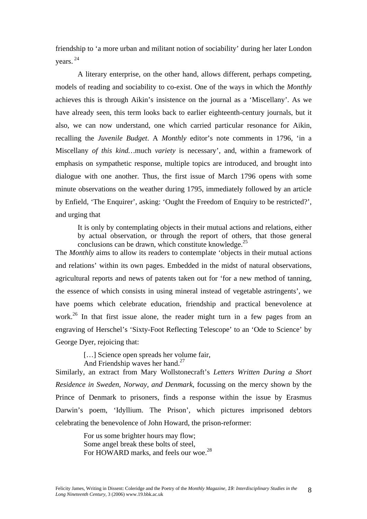friendship to 'a more urban and militant notion of sociability' during her later London years. [24](#page-20-21) 

A literary enterprise, on the other hand, allows different, perhaps competing, models of reading and sociability to co-exist. One of the ways in which the *Monthly* achieves this is through Aikin's insistence on the journal as a 'Miscellany'. As we have already seen, this term looks back to earlier eighteenth-century journals, but it also, we can now understand, one which carried particular resonance for Aikin, recalling the *Juvenile Budget*. A *Monthly* editor's note comments in 1796, 'in a Miscellany *of this kind…*much *variety* is necessary', and, within a framework of emphasis on sympathetic response, multiple topics are introduced, and brought into dialogue with one another. Thus, the first issue of March 1796 opens with some minute observations on the weather during 1795, immediately followed by an article by Enfield, 'The Enquirer', asking: 'Ought the Freedom of Enquiry to be restricted?', and urging that

It is only by contemplating objects in their mutual actions and relations, either by actual observation, or through the report of others, that those general conclusions can be drawn, which constitute knowledge.<sup>25</sup>

The *Monthly* aims to allow its readers to contemplate 'objects in their mutual actions and relations' within its own pages. Embedded in the midst of natural observations, agricultural reports and news of patents taken out for 'for a new method of tanning, the essence of which consists in using mineral instead of vegetable astringents', we have poems which celebrate education, friendship and practical benevolence at work.<sup>26</sup> In that first issue alone, the reader might turn in a few pages from an engraving of Herschel's 'Sixty-Foot Reflecting Telescope' to an 'Ode to Science' by George Dyer, rejoicing that:

[...] Science open spreads her volume fair,

And Friendship waves her hand.<sup>[27](#page-20-24)</sup>

Similarly, an extract from Mary Wollstonecraft's *Letters Written During a Short Residence in Sweden, Norway, and Denmark*, focussing on the mercy shown by the Prince of Denmark to prisoners, finds a response within the issue by Erasmus Darwin's poem, 'Idyllium. The Prison', which pictures imprisoned debtors celebrating the benevolence of John Howard, the prison-reformer:

> For us some brighter hours may flow; Some angel break these bolts of steel, For HOWARD marks, and feels our woe.<sup>28</sup>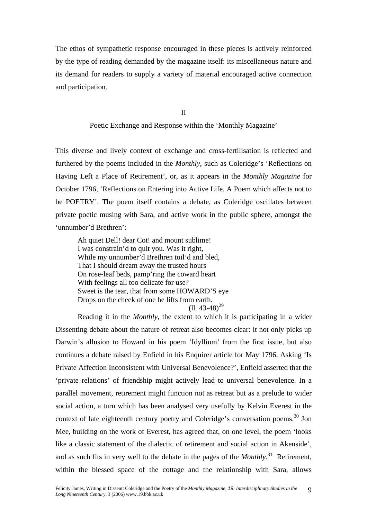The ethos of sympathetic response encouraged in these pieces is actively reinforced by the type of reading demanded by the magazine itself: its miscellaneous nature and its demand for readers to supply a variety of material encouraged active connection and participation.

II

Poetic Exchange and Response within the 'Monthly Magazine'

This diverse and lively context of exchange and cross-fertilisation is reflected and furthered by the poems included in the *Monthly*, such as Coleridge's 'Reflections on Having Left a Place of Retirement', or, as it appears in the *Monthly Magazine* for October 1796, 'Reflections on Entering into Active Life. A Poem which affects not to be POETRY'. The poem itself contains a debate, as Coleridge oscillates between private poetic musing with Sara, and active work in the public sphere, amongst the 'unnumber'd Brethren':

Ah quiet Dell! dear Cot! and mount sublime! I was constrain'd to quit you. Was it right, While my unnumber'd Brethren toil'd and bled, That I should dream away the trusted hours On rose-leaf beds, pamp'ring the coward heart With feelings all too delicate for use? Sweet is the tear, that from some HOWARD'S eye Drops on the cheek of one he lifts from earth.  $(11.43-48)^{29}$ 

Reading it in the *Monthly*, the extent to which it is participating in a wider Dissenting debate about the nature of retreat also becomes clear: it not only picks up Darwin's allusion to Howard in his poem 'Idyllium' from the first issue, but also continues a debate raised by Enfield in his Enquirer article for May 1796. Asking 'Is Private Affection Inconsistent with Universal Benevolence?', Enfield asserted that the 'private relations' of friendship might actively lead to universal benevolence. In a parallel movement, retirement might function not as retreat but as a prelude to wider social action, a turn which has been analysed very usefully by Kelvin Everest in the context of late eighteenth century poetry and Coleridge's conversation poems.<sup>30</sup> Jon Mee, building on the work of Everest, has agreed that, on one level, the poem 'looks like a classic statement of the dialectic of retirement and social action in Akenside', and as such fits in very well to the debate in the pages of the *Monthly*. [31](#page-20-3) Retirement, within the blessed space of the cottage and the relationship with Sara, allows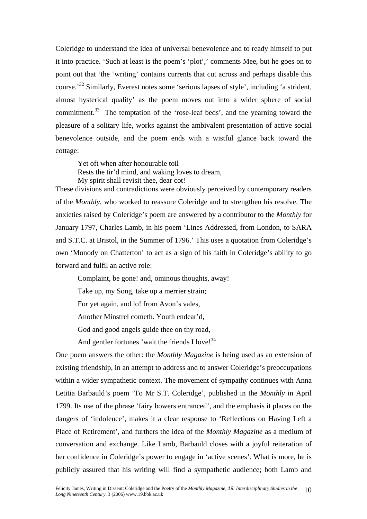Coleridge to understand the idea of universal benevolence and to ready himself to put it into practice. 'Such at least is the poem's 'plot',' comments Mee, but he goes on to point out that 'the 'writing' contains currents that cut across and perhaps disable this course.'[32](#page-20-16) Similarly, Everest notes some 'serious lapses of style', including 'a strident, almost hysterical quality' as the poem moves out into a wider sphere of social commitment.<sup>33</sup> The temptation of the 'rose-leaf beds', and the yearning toward the pleasure of a solitary life, works against the ambivalent presentation of active social benevolence outside, and the poem ends with a wistful glance back toward the cottage:

Yet oft when after honourable toil Rests the tir'd mind, and waking loves to dream, My spirit shall revisit thee, dear cot!

These divisions and contradictions were obviously perceived by contemporary readers of the *Monthly*, who worked to reassure Coleridge and to strengthen his resolve. The anxieties raised by Coleridge's poem are answered by a contributor to the *Monthly* for January 1797, Charles Lamb, in his poem 'Lines Addressed, from London, to SARA and S.T.C. at Bristol, in the Summer of 1796.' This uses a quotation from Coleridge's own 'Monody on Chatterton' to act as a sign of his faith in Coleridge's ability to go forward and fulfil an active role:

Complaint, be gone! and, ominous thoughts, away!

Take up, my Song, take up a merrier strain;

For yet again, and lo! from Avon's vales,

Another Minstrel cometh. Youth endear'd,

God and good angels guide thee on thy road,

And gentler fortunes 'wait the friends I love! $34$ 

One poem answers the other: the *Monthly Magazine* is being used as an extension of existing friendship, in an attempt to address and to answer Coleridge's preoccupations within a wider sympathetic context. The movement of sympathy continues with Anna Letitia Barbauld's poem 'To Mr S.T. Coleridge', published in the *Monthly* in April 1799. Its use of the phrase 'fairy bowers entranced', and the emphasis it places on the dangers of 'indolence', makes it a clear response to 'Reflections on Having Left a Place of Retirement', and furthers the idea of the *Monthly Magazine* as a medium of conversation and exchange. Like Lamb, Barbauld closes with a joyful reiteration of her confidence in Coleridge's power to engage in 'active scenes'. What is more, he is publicly assured that his writing will find a sympathetic audience; both Lamb and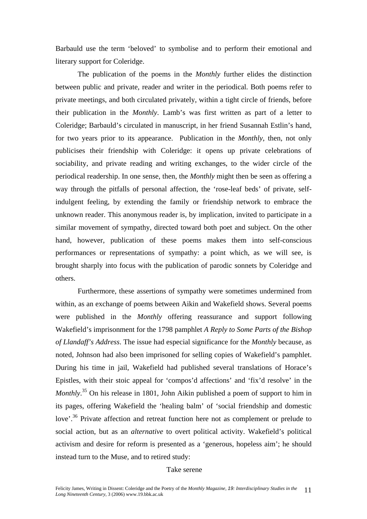Barbauld use the term 'beloved' to symbolise and to perform their emotional and literary support for Coleridge.

The publication of the poems in the *Monthly* further elides the distinction between public and private, reader and writer in the periodical. Both poems refer to private meetings, and both circulated privately, within a tight circle of friends, before their publication in the *Monthly*. Lamb's was first written as part of a letter to Coleridge; Barbauld's circulated in manuscript, in her friend Susannah Estlin's hand, for two years prior to its appearance. Publication in the *Monthly*, then, not only publicises their friendship with Coleridge: it opens up private celebrations of sociability, and private reading and writing exchanges, to the wider circle of the periodical readership. In one sense, then, the *Monthly* might then be seen as offering a way through the pitfalls of personal affection, the 'rose-leaf beds' of private, selfindulgent feeling, by extending the family or friendship network to embrace the unknown reader. This anonymous reader is, by implication, invited to participate in a similar movement of sympathy, directed toward both poet and subject. On the other hand, however, publication of these poems makes them into self-conscious performances or representations of sympathy: a point which, as we will see, is brought sharply into focus with the publication of parodic sonnets by Coleridge and others.

Furthermore, these assertions of sympathy were sometimes undermined from within, as an exchange of poems between Aikin and Wakefield shows. Several poems were published in the *Monthly* offering reassurance and support following Wakefield's imprisonment for the 1798 pamphlet *A Reply to Some Parts of the Bishop of Llandaff's Address*. The issue had especial significance for the *Monthly* because, as noted, Johnson had also been imprisoned for selling copies of Wakefield's pamphlet. During his time in jail, Wakefield had published several translations of Horace's Epistles, with their stoic appeal for 'compos'd affections' and 'fix'd resolve' in the *Monthly*. [35](#page-20-29) On his release in 1801, John Aikin published a poem of support to him in its pages, offering Wakefield the 'healing balm' of 'social friendship and domestic love'.<sup>36</sup> Private affection and retreat function here not as complement or prelude to social action, but as an *alternative* to overt political activity. Wakefield's political activism and desire for reform is presented as a 'generous, hopeless aim'; he should instead turn to the Muse, and to retired study:

### Take serene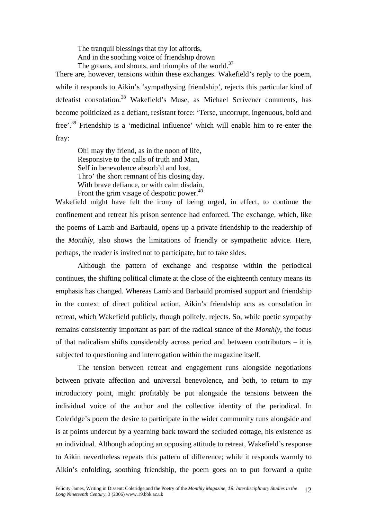The tranquil blessings that thy lot affords, And in the soothing voice of friendship drown The groans, and shouts, and triumphs of the world.<sup>37</sup>

There are, however, tensions within these exchanges. Wakefield's reply to the poem, while it responds to Aikin's 'sympathysing friendship', rejects this particular kind of defeatist consolation.<sup>38</sup> Wakefield's Muse, as Michael Scrivener comments, has become politicized as a defiant, resistant force: 'Terse, uncorrupt, ingenuous, bold and free'.[39](#page-20-7) Friendship is a 'medicinal influence' which will enable him to re-enter the fray:

Oh! may thy friend, as in the noon of life, Responsive to the calls of truth and Man, Self in benevolence absorb'd and lost, Thro' the short remnant of his closing day. With brave defiance, or with calm disdain, Front the grim visage of despotic power.<sup>40</sup>

Wakefield might have felt the irony of being urged, in effect, to continue the confinement and retreat his prison sentence had enforced. The exchange, which, like the poems of Lamb and Barbauld, opens up a private friendship to the readership of the *Monthly,* also shows the limitations of friendly or sympathetic advice. Here, perhaps, the reader is invited not to participate, but to take sides.

Although the pattern of exchange and response within the periodical continues, the shifting political climate at the close of the eighteenth century means its emphasis has changed. Whereas Lamb and Barbauld promised support and friendship in the context of direct political action, Aikin's friendship acts as consolation in retreat, which Wakefield publicly, though politely, rejects. So, while poetic sympathy remains consistently important as part of the radical stance of the *Monthly*, the focus of that radicalism shifts considerably across period and between contributors – it is subjected to questioning and interrogation within the magazine itself.

The tension between retreat and engagement runs alongside negotiations between private affection and universal benevolence, and both, to return to my introductory point, might profitably be put alongside the tensions between the individual voice of the author and the collective identity of the periodical. In Coleridge's poem the desire to participate in the wider community runs alongside and is at points undercut by a yearning back toward the secluded cottage, his existence as an individual. Although adopting an opposing attitude to retreat, Wakefield's response to Aikin nevertheless repeats this pattern of difference; while it responds warmly to Aikin's enfolding, soothing friendship, the poem goes on to put forward a quite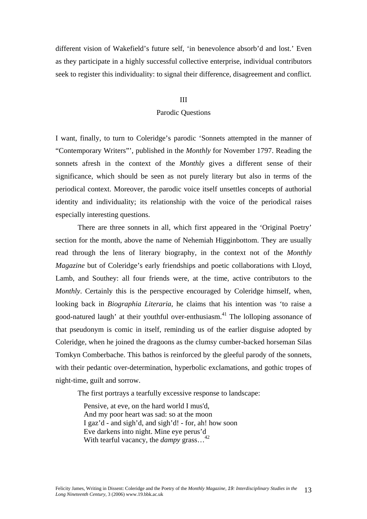different vision of Wakefield's future self, 'in benevolence absorb'd and lost.' Even as they participate in a highly successful collective enterprise, individual contributors seek to register this individuality: to signal their difference, disagreement and conflict.

#### III

#### Parodic Questions

I want, finally, to turn to Coleridge's parodic 'Sonnets attempted in the manner of "Contemporary Writers"', published in the *Monthly* for November 1797. Reading the sonnets afresh in the context of the *Monthly* gives a different sense of their significance, which should be seen as not purely literary but also in terms of the periodical context. Moreover, the parodic voice itself unsettles concepts of authorial identity and individuality; its relationship with the voice of the periodical raises especially interesting questions.

There are three sonnets in all, which first appeared in the 'Original Poetry' section for the month, above the name of Nehemiah Higginbottom. They are usually read through the lens of literary biography, in the context not of the *Monthly Magazine* but of Coleridge's early friendships and poetic collaborations with Lloyd, Lamb, and Southey: all four friends were, at the time, active contributors to the *Monthly*. Certainly this is the perspective encouraged by Coleridge himself, when, looking back in *Biographia Literaria*, he claims that his intention was 'to raise a good-natured laugh' at their youthful over-enthusiasm. [41](#page-20-23) The lolloping assonance of that pseudonym is comic in itself, reminding us of the earlier disguise adopted by Coleridge, when he joined the dragoons as the clumsy cumber-backed horseman Silas Tomkyn Comberbache. This bathos is reinforced by the gleeful parody of the sonnets, with their pedantic over-determination, hyperbolic exclamations, and gothic tropes of night-time, guilt and sorrow.

The first portrays a tearfully excessive response to landscape:

Pensive, at eve, on the hard world I mus'd, And my poor heart was sad: so at the moon I gaz'd - and sigh'd, and sigh'd! - for, ah! how soon Eve darkens into night. Mine eye perus'd With tearful vacancy, the *dampy* grass...<sup>[42](#page-20-33)</sup>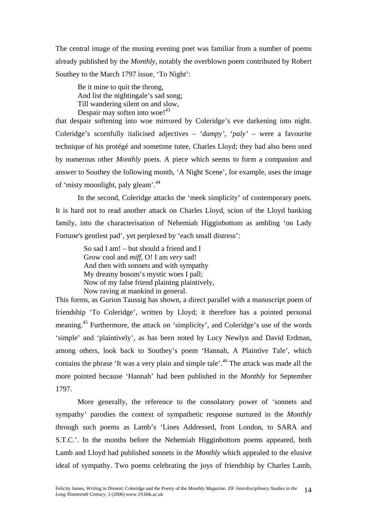The central image of the musing evening poet was familiar from a number of poems already published by the *Monthly*, notably the overblown poem contributed by Robert Southey to the March 1797 issue, 'To Night':

Be it mine to quit the throng, And list the nightingale's sad song; Till wandering silent on and slow, Despair may soften into woe!<sup>[43](#page-20-17)</sup>

that despair softening into woe mirrored by Coleridge's eve darkening into night. Coleridge's scornfully italicised adjectives – '*dampy'*, '*paly'* – were a favourite technique of his protégé and sometime tutee, Charles Lloyd; they had also been used by numerous other *Monthly* poets. A piece which seems to form a companion and answer to Southey the following month, 'A Night Scene', for example, uses the image of 'misty moonlight, paly gleam'.[44](#page-20-9)

In the second, Coleridge attacks the 'meek simplicity' of contemporary poets. It is hard not to read another attack on Charles Lloyd, scion of the Lloyd banking family, into the characterisation of Nehemiah Higginbottom as ambling 'on Lady Fortune's gentlest pad', yet perplexed by 'each small distress':

> So sad I am! – but should a friend and I Grow cool and *miff*, O! I am *very* sad! And then with sonnets and with sympathy My dreamy bosom's mystic woes I pall; Now of my false friend plaining plaintively, Now raving at mankind in general.

This forms, as Gurion Taussig has shown, a direct parallel with a manuscript poem of friendship 'To Coleridge', written by Lloyd; it therefore has a pointed personal meaning.[45](#page-20-2) Furthermore, the attack on 'simplicity', and Coleridge's use of the words 'simple' and 'plaintively', as has been noted by Lucy Newlyn and David Erdman, among others, look back to Southey's poem 'Hannah, A Plaintive Tale', which contains the phrase 'It was a very plain and simple tale'.<sup>46</sup> The attack was made all the more pointed because 'Hannah' had been published in the *Monthly* for September 1797.

More generally, the reference to the consolatory power of 'sonnets and sympathy' parodies the context of sympathetic response nurtured in the *Monthly* through such poems as Lamb's 'Lines Addressed, from London, to SARA and S.T.C.'. In the months before the Nehemiah Higginbottom poems appeared, both Lamb and Lloyd had published sonnets in the *Monthly* which appealed to the elusive ideal of sympathy. Two poems celebrating the joys of friendship by Charles Lamb,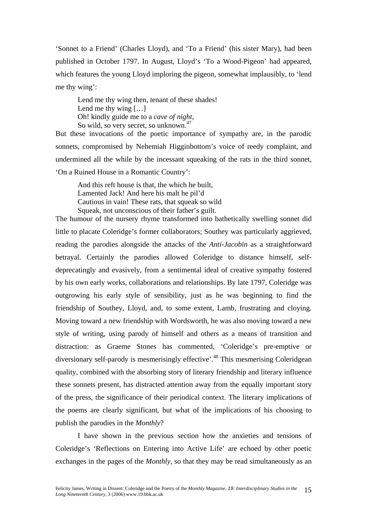'Sonnet to a Friend' (Charles Lloyd), and 'To a Friend' (his sister Mary), had been published in October 1797. In August, Lloyd's 'To a Wood-Pigeon' had appeared, which features the young Lloyd imploring the pigeon, somewhat implausibly, to 'lend me thy wing':

Lend me thy wing then, tenant of these shades! Lend me thy wing […] Oh! kindly guide me to a *cave of night*, So wild, so very secret, so unknown.<sup>[47](#page-20-7)</sup>

But these invocations of the poetic importance of sympathy are, in the parodic sonnets, compromised by Nehemiah Higginbottom's voice of reedy complaint, and undermined all the while by the incessant squeaking of the rats in the third sonnet, 'On a Ruined House in a Romantic Country':

And this reft house is that, the which he built, Lamented Jack! And here his malt he pil'd Cautious in vain! These rats, that squeak so wild Squeak, not unconscious of their father's guilt.

The humour of the nursery rhyme transformed into bathetically swelling sonnet did little to placate Coleridge's former collaborators; Southey was particularly aggrieved, reading the parodies alongside the attacks of the *Anti-Jacobin* as a straightforward betrayal. Certainly the parodies allowed Coleridge to distance himself, selfdeprecatingly and evasively, from a sentimental ideal of creative sympathy fostered by his own early works, collaborations and relationships. By late 1797, Coleridge was outgrowing his early style of sensibility, just as he was beginning to find the friendship of Southey, Lloyd, and, to some extent, Lamb, frustrating and cloying. Moving toward a new friendship with Wordsworth, he was also moving toward a new style of writing, using parody of himself and others as a means of transition and distraction: as Graeme Stones has commented, 'Coleridge's pre-emptive or diversionary self-parody is mesmerisingly effective'.<sup>48</sup> This mesmerising Coleridgean quality, combined with the absorbing story of literary friendship and literary influence these sonnets present, has distracted attention away from the equally important story of the press, the significance of their periodical context. The literary implications of the poems are clearly significant, but what of the implications of his choosing to publish the parodies in the *Monthly*?

I have shown in the previous section how the anxieties and tensions of Coleridge's 'Reflections on Entering into Active Life' are echoed by other poetic exchanges in the pages of the *Monthly*, so that they may be read simultaneously as an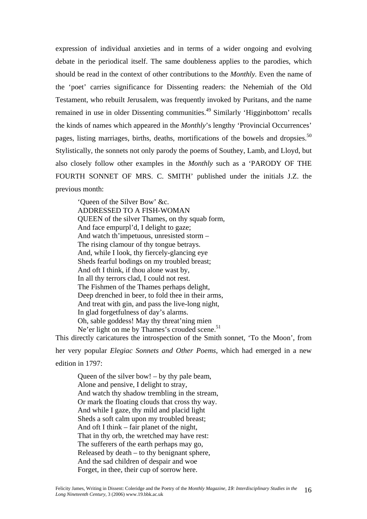expression of individual anxieties and in terms of a wider ongoing and evolving debate in the periodical itself. The same doubleness applies to the parodies, which should be read in the context of other contributions to the *Monthly.* Even the name of the 'poet' carries significance for Dissenting readers: the Nehemiah of the Old Testament, who rebuilt Jerusalem, was frequently invoked by Puritans, and the name remained in use in older Dissenting communities.<sup>49</sup> Similarly 'Higginbottom' recalls the kinds of names which appeared in the *Monthly*'s lengthy 'Provincial Occurrences' pages, listing marriages, births, deaths, mortifications of the bowels and dropsies. $50$ Stylistically, the sonnets not only parody the poems of Southey, Lamb, and Lloyd, but also closely follow other examples in the *Monthly* such as a 'PARODY OF THE FOURTH SONNET OF MRS. C. SMITH' published under the initials J.Z. the previous month:

'Queen of the Silver Bow' &c. ADDRESSED TO A FISH-WOMAN QUEEN of the silver Thames, on thy squab form, And face empurpl'd, I delight to gaze; And watch th'impetuous, unresisted storm – The rising clamour of thy tongue betrays. And, while I look, thy fiercely-glancing eye Sheds fearful bodings on my troubled breast; And oft I think, if thou alone wast by, In all thy terrors clad, I could not rest. The Fishmen of the Thames perhaps delight, Deep drenched in beer, to fold thee in their arms, And treat with gin, and pass the live-long night, In glad forgetfulness of day's alarms. Oh, sable goddess! May thy threat'ning mien Ne'er light on me by Thames's crouded scene.<sup>[51](#page-20-36)</sup>

This directly caricatures the introspection of the Smith sonnet, 'To the Moon', from her very popular *Elegiac Sonnets and Other Poems*, which had emerged in a new

edition in 1797:

Queen of the silver bow! – by thy pale beam, Alone and pensive, I delight to stray, And watch thy shadow trembling in the stream, Or mark the floating clouds that cross thy way. And while I gaze, thy mild and placid light Sheds a soft calm upon my troubled breast; And oft I think – fair planet of the night, That in thy orb, the wretched may have rest: The sufferers of the earth perhaps may go, Released by death – to thy benignant sphere, And the sad children of despair and woe Forget, in thee, their cup of sorrow here.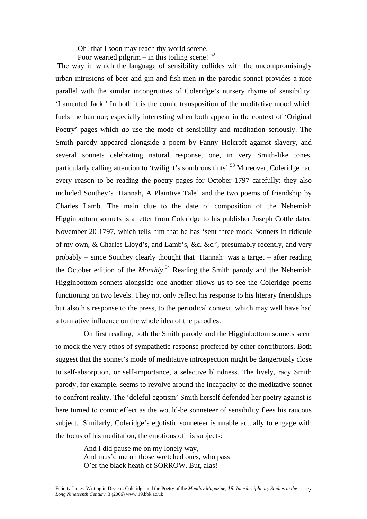Oh! that I soon may reach thy world serene, Poor wearied pilgrim – in this toiling scene!  $52$ 

The way in which the language of sensibility collides with the uncompromisingly urban intrusions of beer and gin and fish-men in the parodic sonnet provides a nice parallel with the similar incongruities of Coleridge's nursery rhyme of sensibility, 'Lamented Jack.' In both it is the comic transposition of the meditative mood which fuels the humour; especially interesting when both appear in the context of 'Original Poetry' pages which *do* use the mode of sensibility and meditation seriously. The Smith parody appeared alongside a poem by Fanny Holcroft against slavery, and several sonnets celebrating natural response, one, in very Smith-like tones, particularly calling attention to 'twilight's sombrous tints'.<sup>53</sup> Moreover, Coleridge had every reason to be reading the poetry pages for October 1797 carefully: they also included Southey's 'Hannah, A Plaintive Tale' and the two poems of friendship by Charles Lamb. The main clue to the date of composition of the Nehemiah Higginbottom sonnets is a letter from Coleridge to his publisher Joseph Cottle dated November 20 1797, which tells him that he has 'sent three mock Sonnets in ridicule of my own, & Charles Lloyd's, and Lamb's, &c. &c.', presumably recently, and very probably – since Southey clearly thought that 'Hannah' was a target – after reading the October edition of the *Monthly*. [54](#page-20-11) Reading the Smith parody and the Nehemiah Higginbottom sonnets alongside one another allows us to see the Coleridge poems functioning on two levels. They not only reflect his response to his literary friendships but also his response to the press, to the periodical context, which may well have had a formative influence on the whole idea of the parodies.

On first reading, both the Smith parody and the Higginbottom sonnets seem to mock the very ethos of sympathetic response proffered by other contributors. Both suggest that the sonnet's mode of meditative introspection might be dangerously close to self-absorption, or self-importance, a selective blindness. The lively, racy Smith parody, for example, seems to revolve around the incapacity of the meditative sonnet to confront reality. The 'doleful egotism' Smith herself defended her poetry against is here turned to comic effect as the would-be sonneteer of sensibility flees his raucous subject. Similarly, Coleridge's egotistic sonneteer is unable actually to engage with the focus of his meditation, the emotions of his subjects:

> And I did pause me on my lonely way, And mus'd me on those wretched ones, who pass O'er the black heath of SORROW. But, alas!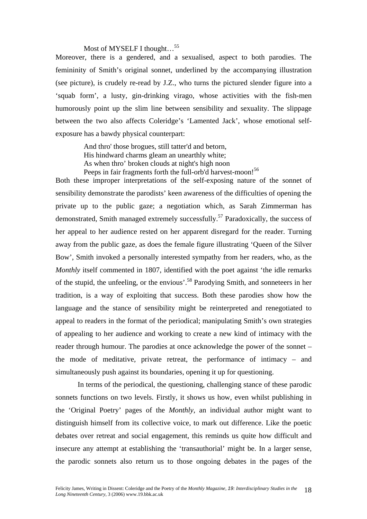# Most of MYSELF I thought...<sup>55</sup>

Moreover, there is a gendered, and a sexualised, aspect to both parodies. The femininity of Smith's original sonnet, underlined by the accompanying illustration (see picture), is crudely re-read by J.Z., who turns the pictured slender figure into a 'squab form', a lusty, gin-drinking virago, whose activities with the fish-men humorously point up the slim line between sensibility and sexuality. The slippage between the two also affects Coleridge's 'Lamented Jack', whose emotional selfexposure has a bawdy physical counterpart:

> And thro' those brogues, still tatter'd and betorn, His hindward charms gleam an unearthly white; As when thro' broken clouds at night's high noon Peeps in fair fragments forth the full-orb'd harvest-moon!<sup>[56](#page-20-40)</sup>

Both these improper interpretations of the self-exposing nature of the sonnet of sensibility demonstrate the parodists' keen awareness of the difficulties of opening the private up to the public gaze; a negotiation which, as Sarah Zimmerman has demonstrated, Smith managed extremely successfully.<sup>57</sup> Paradoxically, the success of her appeal to her audience rested on her apparent disregard for the reader. Turning away from the public gaze, as does the female figure illustrating 'Queen of the Silver Bow', Smith invoked a personally interested sympathy from her readers, who, as the *Monthly* itself commented in 1807, identified with the poet against 'the idle remarks' of the stupid, the unfeeling, or the envious'[.58](#page-20-42) Parodying Smith, and sonneteers in her tradition, is a way of exploiting that success. Both these parodies show how the language and the stance of sensibility might be reinterpreted and renegotiated to appeal to readers in the format of the periodical; manipulating Smith's own strategies of appealing to her audience and working to create a new kind of intimacy with the reader through humour. The parodies at once acknowledge the power of the sonnet – the mode of meditative, private retreat, the performance of intimacy – and simultaneously push against its boundaries, opening it up for questioning.

In terms of the periodical, the questioning, challenging stance of these parodic sonnets functions on two levels. Firstly, it shows us how, even whilst publishing in the 'Original Poetry' pages of the *Monthly*, an individual author might want to distinguish himself from its collective voice, to mark out difference. Like the poetic debates over retreat and social engagement, this reminds us quite how difficult and insecure any attempt at establishing the 'transauthorial' might be. In a larger sense, the parodic sonnets also return us to those ongoing debates in the pages of the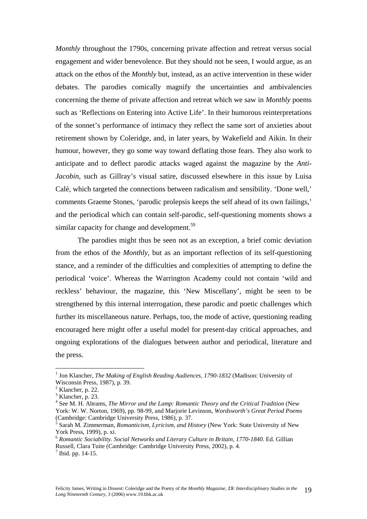*Monthly* throughout the 1790s, concerning private affection and retreat versus social engagement and wider benevolence. But they should not be seen, I would argue, as an attack on the ethos of the *Monthly* but, instead, as an active intervention in these wider debates. The parodies comically magnify the uncertainties and ambivalencies concerning the theme of private affection and retreat which we saw in *Monthly* poems such as 'Reflections on Entering into Active Life'. In their humorous reinterpretations of the sonnet's performance of intimacy they reflect the same sort of anxieties about retirement shown by Coleridge, and, in later years, by Wakefield and Aikin. In their humour, however, they go some way toward deflating those fears. They also work to anticipate and to deflect parodic attacks waged against the magazine by the *Anti-Jacobin*, such as Gillray's visual satire, discussed elsewhere in this issue by Luisa Calè, which targeted the connections between radicalism and sensibility. 'Done well,' comments Graeme Stones, 'parodic prolepsis keeps the self ahead of its own failings,' and the periodical which can contain self-parodic, self-questioning moments shows a similar capacity for change and development.<sup>59</sup>

The parodies might thus be seen not as an exception, a brief comic deviation from the ethos of the *Monthly*, but as an important reflection of its self-questioning stance, and a reminder of the difficulties and complexities of attempting to define the periodical 'voice'. Whereas the Warrington Academy could not contain 'wild and reckless' behaviour, the magazine, this 'New Miscellany', might be seen to be strengthened by this internal interrogation, these parodic and poetic challenges which further its miscellaneous nature. Perhaps, too, the mode of active, questioning reading encouraged here might offer a useful model for present-day critical approaches, and ongoing explorations of the dialogues between author and periodical, literature and the press.

<sup>&</sup>lt;sup>1</sup> Jon Klancher, *The Making of English Reading Audiences, 1790-1832* (Madison: University of Wisconsin Press, 1987), p. 39. 2

 $<sup>2</sup>$  Klancher, p. 22.</sup>

 $3$  Klancher, p. 23.

<sup>4</sup> See M. H. Abrams, *The Mirror and the Lamp: Romantic Theory and the Critical Tradition* (New York: W. W. Norton, 1969), pp. 98-99, and Marjorie Levinson, *Wordsworth's Great Period Poems* (Cambridge: Cambridge University Press, 1986), p. 37.<br><sup>5</sup> Sarah M. Zimmerman, *Romanticism, Lyricism, and History* (New York: State University of New

York Press, 1999), p. xi.<br><sup>6</sup> *Romantic Sociability. Social Networks and Literary Culture in Britain, 1770-1840.* Ed. Gillian

Russell, Clara Tuite (Cambridge: Cambridge University Press, 2002), p. 4.<br><sup>7</sup> Ibid. pp. 14-15.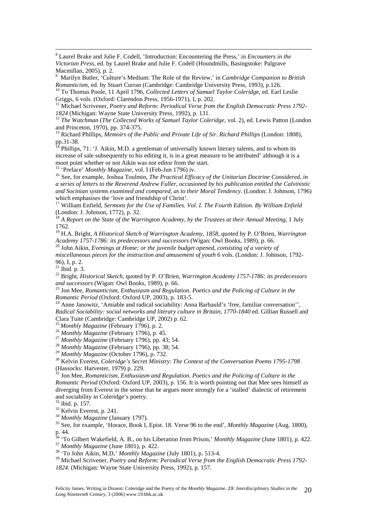8 Laurel Brake and Julie F. Codell, 'Introduction: Encountering the Press,' in *Encounters in the Victorian Press*, ed. by Laurel Brake and Julie F. Codell (Houndmills, Basingstoke: Palgrave Macmillan, 2005), p. 2.

<sup>9</sup> Marilyn Butler, 'Culture's Medium: The Role of the Review,' in *Cambridge Companion to British Romanticism*, ed. by Stuart Curran (Cambridge: Cambridge University Press, 1993), p.126.

<sup>10</sup> To Thomas Poole, 11 April 1796, *Collected Letters of Samuel Taylor Coleridge*, ed. Earl Leslie

Griggs, 6 vols. (Oxford: Clarendon Press, 1956-1971), I, p. 202.<br><sup>11</sup> Michael Scrivener, *Poetry and Reform: Periodical Verse from the English Democratic Press 1792-1824* (Michigan: Wayne State University Press, 1992), p.

<sup>12</sup> The Watchman (The Collected Works of Samuel Taylor Coleridge, vol. 2), ed. Lewis Patton (London and Princeton, 1970), pp. 374-375.

<sup>13</sup> Richard Phillips, *Memoirs of the Public and Private Life of Sir. Richard Phillips* (London: 1808), pp.31-38.

 $14$  Phillips, 71: 'J. Aikin, M.D. a gentleman of universally known literary talents, and to whom its increase of sale subsequently to his editing it, is in a great measure to be attributed' although it is a moot point whether or not Aikin was not editor from the start.<br><sup>15</sup> 'Preface' *Monthly Magazine*, vol. I (Feb-Jun 1796) iv.<br><sup>16</sup> See, for example, Joshua Toulmin, *The Practical Efficacy of the Unitarian Doctrine Considere* 

*a series of letters to the Reverend Andrew Fuller, occasioned by his publication entitled the Calvinistic*  and Socinian systems examined and compared, as to their Moral Tendency. (London: J. Johnson, 1796) which emphasises the 'love and friendship of Christ'.<br><sup>17</sup> William Enfield, *Sermons for the Use of Families. Vol. I. The Fourth Edition. By William Enfield* 

(London: J. Johnson, 1772), p. 32.<br><sup>18</sup> A Report on the State of the Warrington Academy, by the Trustees at their Annual Meeting, 1 July

1762.

<sup>19</sup> H.A. Bright, *A Historical Sketch of Warrington Academy, 1858*, quoted by P. O'Brien, *Warrington Academy 1757-1786: its predecessors and successors* (Wigan: Owl Books, 1989), p. 66. 20 John Aikin, *Evenings at Home; or the juvenile budget opened, consisting of a variety of*

*miscellaneous pieces for the instruction and amusement of youth* 6 vols. (London: J. Johnson, 1792- 96), I, p. 2.

 $21$  Ibid. p. 3.

<sup>22</sup> Bright, *Historical Sketch*, quoted by P. O'Brien, *Warrington Academy 1757-1786: its predecessors and successors* (Wigan: Owl Books, 1989), p. 66.

<sup>23</sup> Jon Mee, *Romanticism, Enthusiasm and Regulation. Poetics and the Policing of Culture in the <i>Romantic Period* (Oxford: Oxford UP, 2003), p. 183-5.

<sup>24</sup> Anne Janowitz, 'Amiable and radical sociability: Anna Barbauld's 'free, familiar conversation'', *Radical Sociability: social networks and literary culture in Britain, 1770-1840* ed. Gillian Russell and Clara Tuite (Cambridge: Cambridge UP, 2002) p. 62.<br>
<sup>25</sup> Monthly Magazine (February 1796), p. 2.<br>
<sup>26</sup> Monthly Magazine (February 1796), p. 45.<br>
<sup>27</sup> Monthly Magazine (February 1796), pp. 43; 54.<br>
<sup>28</sup> Monthly Magazine (F

<sup>30</sup> Kelvin Everest, *Coleridge's Secret Ministry: The Context of the Conversation Poems 1795-1798* (Hassocks: Harvester, 1979) p. 229. 31 Jon Mee, *Romanticism, Enthusiasm and Regulation*. *Poetics and the Policing of Culture in the* 

*Romantic Period* (Oxford: Oxford UP, 2003), p. 156. It is worth pointing out that Mee sees himself as diverging from Everest in the sense that he argues more strongly for a 'stalled' dialectic of retirement and sociability in Coleridge's poetry.<br>
<sup>32</sup> ibid. p. 157.<br>
<sup>33</sup> Kelvin Everest, p. 241.<br>
<sup>34</sup> Monthly Magazine (January 1797).<br>
<sup>35</sup> See, for example, 'Horace, Book I, Epist. 18. Verse 96 to the end', *Monthly Magazine* (

p. 44.

<sup>36</sup> 'To Gilbert Wakefield, A. B., on his Liberation from Prison,' *Monthly Magazine* (June 1801), p. 422.<br><sup>37</sup> Monthly Magazine (June 1801), p. 422.<br><sup>38</sup> 'To John Aikin, M.D,' *Monthly Magazine* (July 1801), p. 513-4.

39 Michael Scrivener, *Poetry and Reform: Periodical Verse from the English Democratic Press 1792- 1824.* (Michigan: Wayne State University Press, 1992), p. 157.